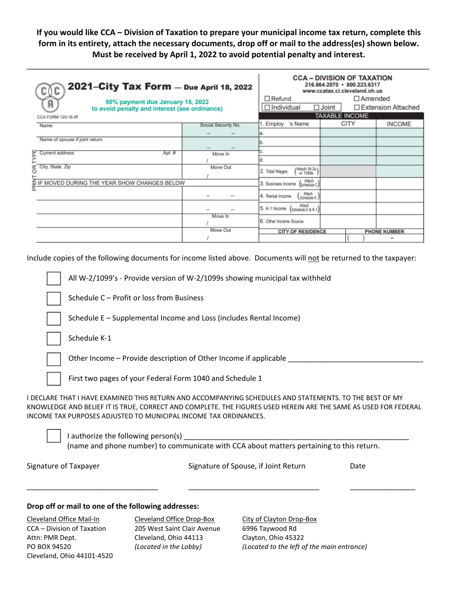If you would like CCA - Division of Taxation to prepare your municipal income tax return, complete this **form in its entirety, attach the necessary documents, drop off or mail to the address(es) shown below. Must be received by April 1, 2022 to avoid potential penalty and interest.**

\_\_\_\_\_\_\_\_\_\_\_\_\_\_\_\_\_\_\_\_\_\_\_\_\_\_\_\_\_\_\_\_\_\_\_\_\_\_\_\_\_\_\_\_\_\_\_\_\_\_\_\_\_\_\_\_\_\_\_\_\_\_\_\_\_\_\_\_\_\_\_\_\_\_\_\_\_\_\_\_\_\_\_\_\_\_\_\_\_\_

| 2021-City Tax Form - Due April 18, 2022<br>≬C<br>ı<br>90% payment due January 15, 2022<br>A<br>to avoid penalty and interest (see ordinance)<br><b>CCA FORM 120-16-IR</b> |                                                      |                     | <b>CCA - DIVISION OF TAXATION</b><br>216.664.2070 · 800.223.6317<br>www.ccatax.ci.cleveland.oh.us<br>$\Box$ Amended<br>$\Box$ Refund |  |             |                     |
|---------------------------------------------------------------------------------------------------------------------------------------------------------------------------|------------------------------------------------------|---------------------|--------------------------------------------------------------------------------------------------------------------------------------|--|-------------|---------------------|
|                                                                                                                                                                           |                                                      |                     | $\Box$ Individual<br>$\Box$ Joint<br>□ Extension Attached<br><b>TAXABLE INCOME</b>                                                   |  |             |                     |
| Name                                                                                                                                                                      |                                                      | Social Security No. | 's Name<br>Employ                                                                                                                    |  | <b>CITY</b> | <b>INCOME</b>       |
|                                                                                                                                                                           |                                                      |                     |                                                                                                                                      |  |             |                     |
|                                                                                                                                                                           | Name of spouse if joint return                       |                     |                                                                                                                                      |  |             |                     |
|                                                                                                                                                                           | <b>Current address</b><br>Apt. #                     | Move In             |                                                                                                                                      |  |             |                     |
| IYPE                                                                                                                                                                      |                                                      |                     |                                                                                                                                      |  |             |                     |
| δŔ                                                                                                                                                                        | City, State, Zip                                     | Move Out            | Attach W-2s<br>2. Total Wages<br>or 1099s                                                                                            |  |             |                     |
|                                                                                                                                                                           | <b>E IF MOVED DURING THE YEAR SHOW CHANGES BELOW</b> |                     | Attach<br>3. Business Income<br>Schedule C)                                                                                          |  |             |                     |
|                                                                                                                                                                           |                                                      | -                   | (Kadada)<br>(Schedule E<br>4. Rental Income                                                                                          |  |             |                     |
|                                                                                                                                                                           |                                                      |                     | 5. K-1 Income (Schedule E & K-1)                                                                                                     |  |             |                     |
|                                                                                                                                                                           |                                                      | Move In             | 6. Other Income Source                                                                                                               |  |             |                     |
|                                                                                                                                                                           |                                                      | <b>Move Out</b>     | <b>CITY OF RESIDENCE</b>                                                                                                             |  |             | <b>PHONE NUMBER</b> |
|                                                                                                                                                                           |                                                      |                     |                                                                                                                                      |  |             |                     |

Include copies of the following documents for income listed above. Documents will not be returned to the taxpayer:

|                                                                                                                                                                                                                                                                                                | All W-2/1099's - Provide version of W-2/1099s showing municipal tax withheld |                                      |      |  |  |  |  |
|------------------------------------------------------------------------------------------------------------------------------------------------------------------------------------------------------------------------------------------------------------------------------------------------|------------------------------------------------------------------------------|--------------------------------------|------|--|--|--|--|
|                                                                                                                                                                                                                                                                                                | Schedule C - Profit or loss from Business                                    |                                      |      |  |  |  |  |
|                                                                                                                                                                                                                                                                                                | Schedule E – Supplemental Income and Loss (includes Rental Income)           |                                      |      |  |  |  |  |
|                                                                                                                                                                                                                                                                                                | Schedule K-1                                                                 |                                      |      |  |  |  |  |
|                                                                                                                                                                                                                                                                                                | Other Income – Provide description of Other Income if applicable             |                                      |      |  |  |  |  |
| First two pages of your Federal Form 1040 and Schedule 1                                                                                                                                                                                                                                       |                                                                              |                                      |      |  |  |  |  |
| I DECLARE THAT I HAVE EXAMINED THIS RETURN AND ACCOMPANYING SCHEDULES AND STATEMENTS. TO THE BEST OF MY<br>KNOWLEDGE AND BELIEF IT IS TRUE, CORRECT AND COMPLETE. THE FIGURES USED HEREIN ARE THE SAME AS USED FOR FEDERAL<br>INCOME TAX PURPOSES ADJUSTED TO MUNICIPAL INCOME TAX ORDINANCES. |                                                                              |                                      |      |  |  |  |  |
| I authorize the following person(s)<br>(name and phone number) to communicate with CCA about matters pertaining to this return.                                                                                                                                                                |                                                                              |                                      |      |  |  |  |  |
|                                                                                                                                                                                                                                                                                                | Signature of Taxpayer                                                        | Signature of Spouse, if Joint Return | Date |  |  |  |  |

\_\_\_\_\_\_\_\_\_\_\_\_\_\_\_\_\_\_\_\_\_\_\_\_\_\_\_\_\_\_\_\_ \_\_\_\_\_\_\_\_\_\_\_\_\_\_\_\_\_\_\_\_\_\_\_\_\_\_\_\_\_\_\_\_ \_\_\_\_\_\_\_\_\_\_\_\_\_\_\_\_

## **Drop off or mail to one of the following addresses:**

| Cleveland Office Mail-In   | Cleveland Office Drop-Box   |  |
|----------------------------|-----------------------------|--|
| CCA – Division of Taxation | 205 West Saint Clair Avenue |  |
| Attn: PMR Dept.            | Cleveland, Ohio 44113       |  |
| PO BOX 94520               | (Located in the Lobby)      |  |
| Cleveland, Ohio 44101-4520 |                             |  |

Cleveland Office Drop-Box City of Clayton Drop-Box 205 West Saint Clair Avenue 6996 Taywood Rd Cleveland, Ohio 44113 Clayton, Ohio 45322

PO BOX 94520 *(Located in the Lobby) (Located to the left of the main entrance)*